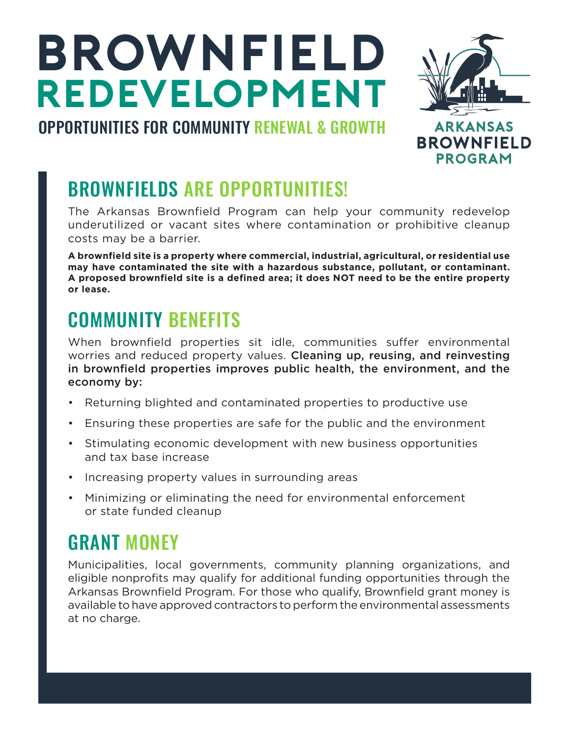# **BROWNFIELD REDEVELOPMENT**



### OPPORTUNITIES FOR COMMUNITY RENEWAL & GROWTH

## BROWNFIELDS ARE OPPORTUNITIES!

The Arkansas Brownfield Program can help your community redevelop underutilized or vacant sites where contamination or prohibitive cleanup costs may be a barrier.

**A brownfield site is a property where commercial, industrial, agricultural, or residential use may have contaminated the site with a hazardous substance, pollutant, or contaminant. A proposed brownfield site is a defined area; it does NOT need to be the entire property or lease.**

#### COMMUNITY BENEFITS

When brownfield properties sit idle, communities suffer environmental worries and reduced property values. Cleaning up, reusing, and reinvesting in brownfield properties improves public health, the environment, and the economy by:

- Returning blighted and contaminated properties to productive use
- Ensuring these properties are safe for the public and the environment
- Stimulating economic development with new business opportunities and tax base increase
- Increasing property values in surrounding areas
- Minimizing or eliminating the need for environmental enforcement or state funded cleanup

#### GRANT MONEY

Municipalities, local governments, community planning organizations, and eligible nonprofits may qualify for additional funding opportunities through the Arkansas Brownfield Program. For those who qualify, Brownfield grant money is available to have approved contractors to perform the environmental assessments at no charge.